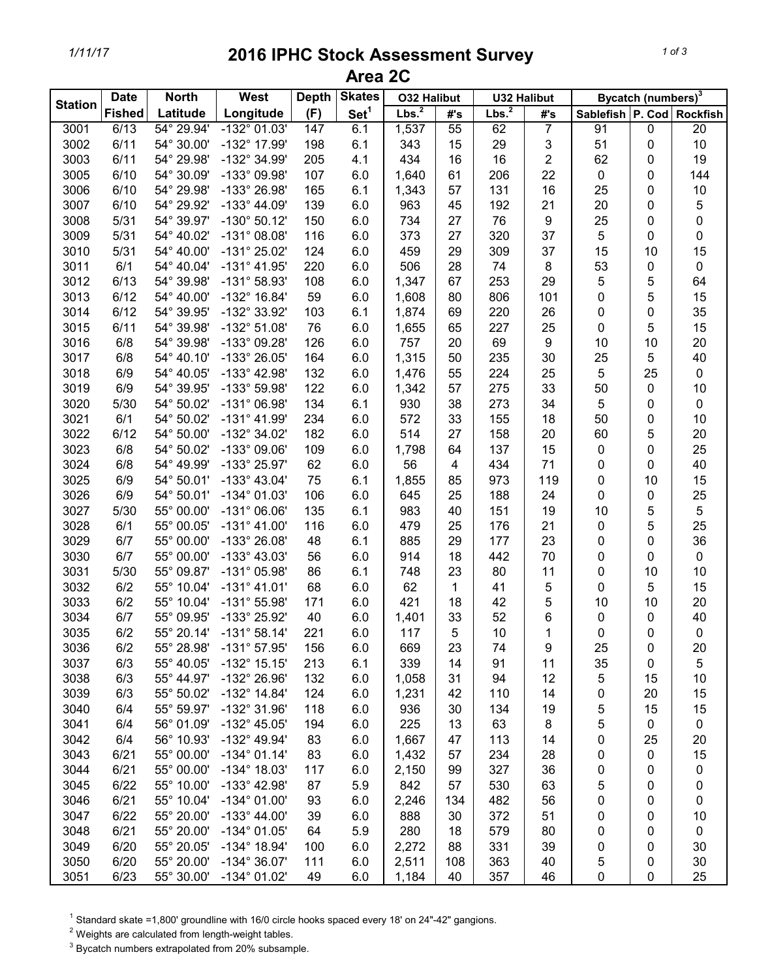## *1/11/17* **2016 IPHC Stock Assessment Survey Area 2C**

|                | <b>Date</b>   | <b>North</b> | West                  | <b>Depth</b> | <b>Skates</b>    | <b>O32 Halibut</b> |     | <b>U32 Halibut</b> |                  | Bycatch (numbers) <sup>3</sup> |    |                 |
|----------------|---------------|--------------|-----------------------|--------------|------------------|--------------------|-----|--------------------|------------------|--------------------------------|----|-----------------|
| <b>Station</b> | <b>Fished</b> | Latitude     | Longitude             | (F)          | Set <sup>1</sup> | Lbs. <sup>2</sup>  | #'s | Lbs. <sup>2</sup>  | #'s              | Sablefish P. Cod               |    | <b>Rockfish</b> |
| 3001           | 6/13          | 54° 29.94'   | $-132^{\circ}$ 01.03' | 147          | 6.1              | 1,537              | 55  | 62                 | 7                | 91                             | 0  | $\overline{20}$ |
| 3002           | 6/11          | 54° 30.00'   | -132° 17.99'          | 198          | 6.1              | 343                | 15  | 29                 | 3                | 51                             | 0  | $10$            |
| 3003           | 6/11          | 54° 29.98'   | -132° 34.99'          | 205          | 4.1              | 434                | 16  | 16                 | 2                | 62                             | 0  | 19              |
| 3005           | 6/10          | 54° 30.09'   | -133° 09.98'          | 107          | 6.0              | 1,640              | 61  | 206                | 22               | 0                              | 0  | 144             |
| 3006           | 6/10          | 54° 29.98'   | -133° 26.98'          | 165          | 6.1              | 1,343              | 57  | 131                | 16               | 25                             | 0  | 10              |
| 3007           | 6/10          | 54° 29.92'   | $-133^{\circ}$ 44.09' | 139          | 6.0              | 963                | 45  | 192                | 21               | 20                             | 0  | $\mathbf 5$     |
| 3008           | 5/31          | 54° 39.97'   | $-130^{\circ}$ 50.12' | 150          | 6.0              | 734                | 27  | 76                 | $\boldsymbol{9}$ | 25                             | 0  | $\mathbf 0$     |
| 3009           | 5/31          | 54° 40.02'   | $-131^{\circ}$ 08.08' | 116          | 6.0              | 373                | 27  | 320                | 37               | 5                              | 0  | $\pmb{0}$       |
| 3010           | 5/31          | 54° 40.00'   | -131° 25.02'          | 124          | 6.0              | 459                | 29  | 309                | 37               | 15                             | 10 | 15              |
| 3011           | 6/1           | 54° 40.04'   | $-131^{\circ}$ 41.95' | 220          | 6.0              | 506                | 28  | 74                 | $\bf 8$          | 53                             | 0  | $\pmb{0}$       |
| 3012           | 6/13          | 54° 39.98'   | $-131^{\circ}58.93'$  | 108          | 6.0              | 1,347              | 67  | 253                | 29               | 5                              | 5  | 64              |
| 3013           | 6/12          | 54° 40.00'   | -132° 16.84'          | 59           | 6.0              | 1,608              | 80  | 806                | 101              | 0                              | 5  | 15              |
| 3014           | 6/12          | 54° 39.95'   | -132° 33.92'          | 103          | 6.1              | 1,874              | 69  | 220                | 26               | 0                              | 0  | 35              |
| 3015           | 6/11          | 54° 39.98'   | $-132^{\circ} 51.08'$ | 76           | 6.0              | 1,655              | 65  | 227                | 25               | 0                              | 5  | 15              |
| 3016           | 6/8           | 54° 39.98'   | -133° 09.28'          | 126          | 6.0              | 757                | 20  | 69                 | $\boldsymbol{9}$ | 10                             | 10 | 20              |
| 3017           | 6/8           | 54° 40.10'   | -133° 26.05'          | 164          | 6.0              | 1,315              | 50  | 235                | 30               | 25                             | 5  | 40              |
| 3018           | 6/9           | 54° 40.05'   | -133° 42.98'          | 132          | 6.0              | 1,476              | 55  | 224                | 25               | 5                              | 25 | $\pmb{0}$       |
| 3019           | 6/9           | 54° 39.95'   | -133° 59.98'          | 122          | 6.0              | 1,342              | 57  | 275                | 33               | 50                             | 0  | 10              |
| 3020           | 5/30          | 54° 50.02'   | -131° 06.98'          | 134          | 6.1              | 930                | 38  | 273                | 34               | 5                              | 0  | $\pmb{0}$       |
| 3021           | 6/1           | 54° 50.02'   | $-131^{\circ}$ 41.99' | 234          | 6.0              | 572                | 33  | 155                | 18               | 50                             | 0  | 10              |
| 3022           | 6/12          | 54° 50.00'   | -132° 34.02'          | 182          | 6.0              | 514                | 27  | 158                | 20               | 60                             | 5  | 20              |
| 3023           | 6/8           | 54° 50.02'   | -133° 09.06'          | 109          | 6.0              | 1,798              | 64  | 137                | 15               | 0                              | 0  | 25              |
| 3024           | 6/8           | 54° 49.99'   | -133° 25.97'          | 62           | 6.0              | 56                 | 4   | 434                | 71               | 0                              | 0  | 40              |
| 3025           | 6/9           | 54° 50.01'   | $-133^{\circ}$ 43.04' | 75           | 6.1              | 1,855              | 85  | 973                | 119              | 0                              | 10 | 15              |
| 3026           | 6/9           | 54° 50.01'   | $-134^{\circ}$ 01.03' | 106          | 6.0              | 645                | 25  | 188                | 24               | 0                              | 0  | 25              |
| 3027           | 5/30          | 55° 00.00'   | $-131^{\circ}$ 06.06' | 135          | 6.1              | 983                | 40  | 151                | 19               | 10                             | 5  | $\sqrt{5}$      |
| 3028           | 6/1           | 55° 00.05'   | $-131^{\circ}$ 41.00' | 116          | 6.0              | 479                | 25  | 176                | 21               | 0                              | 5  | 25              |
| 3029           | 6/7           | 55° 00.00'   | -133° 26.08'          | 48           | 6.1              | 885                | 29  | 177                | 23               | 0                              | 0  | 36              |
| 3030           | 6/7           | 55° 00.00'   | $-133^{\circ}$ 43.03' | 56           | 6.0              | 914                | 18  | 442                | 70               | 0                              | 0  | $\pmb{0}$       |
| 3031           | 5/30          | 55° 09.87'   | -131° 05.98'          | 86           | 6.1              | 748                | 23  | 80                 | 11               | 0                              | 10 | 10              |
| 3032           | 6/2           | 55° 10.04'   | $-131^{\circ}$ 41.01' | 68           | 6.0              | 62                 | 1   | 41                 | 5                | 0                              | 5  | 15              |
| 3033           | 6/2           | 55° 10.04'   | $-131^{\circ}55.98'$  | 171          | 6.0              | 421                | 18  | 42                 | 5                | 10                             | 10 | 20              |
| 3034           | 6/7           | 55° 09.95'   | -133° 25.92'          | 40           | 6.0              | 1,401              | 33  | 52                 | 6                | 0                              | 0  | 40              |
| 3035           | 6/2           | 55° 20.14'   | $-131^{\circ}58.14'$  | 221          | 6.0              | 117                | 5   | 10                 | 1                | 0                              | 0  | $\pmb{0}$       |
| 3036           | 6/2           | 55° 28.98'   | $-131^{\circ}57.95'$  | 156          | 6.0              | 669                | 23  | 74                 | 9                | 25                             | 0  | 20              |
| 3037           | 6/3           | 55° 40.05'   | $-132^{\circ}$ 15.15' | 213          | 6.1              | 339                | 14  | 91                 | 11               | 35                             | 0  | 5               |
| 3038           | 6/3           | 55° 44.97'   | -132° 26.96'          | 132          | 6.0              | 1,058              | 31  | 94                 | 12               | 5                              | 15 | 10              |
| 3039           | 6/3           | 55° 50.02'   | $-132^{\circ}$ 14.84' | 124          | 6.0              | 1,231              | 42  | 110                | 14               | 0                              | 20 | 15              |
| 3040           | 6/4           | 55° 59.97'   | -132° 31.96'          | 118          | 6.0              | 936                | 30  | 134                | 19               | 5                              | 15 | 15              |
| 3041           | 6/4           | 56° 01.09'   | $-132^{\circ}$ 45.05' | 194          | 6.0              | 225                | 13  | 63                 | 8                | 5                              | 0  | $\pmb{0}$       |
| 3042           | 6/4           | 56° 10.93'   | -132° 49.94'          | 83           | 6.0              | 1,667              | 47  | 113                | 14               | 0                              | 25 | 20              |
| 3043           | 6/21          | 55° 00.00'   | $-134^{\circ}$ 01.14' | 83           | 6.0              | 1,432              | 57  | 234                | 28               | 0                              | 0  | 15              |
| 3044           | 6/21          | 55° 00.00'   | $-134^{\circ}$ 18.03' | 117          | 6.0              | 2,150              | 99  | 327                | 36               | 0                              | 0  | $\pmb{0}$       |
| 3045           | 6/22          | 55° 10.00'   | $-133^{\circ}$ 42.98' | 87           | 5.9              | 842                | 57  | 530                | 63               | 5                              | 0  | 0               |
| 3046           | 6/21          | 55° 10.04'   | $-134^{\circ}$ 01.00' | 93           | 6.0              | 2,246              | 134 | 482                | 56               | 0                              | 0  | $\pmb{0}$       |
| 3047           | 6/22          | 55° 20.00'   | $-133^{\circ}$ 44.00' | 39           | 6.0              | 888                | 30  | 372                | 51               | 0                              | 0  | 10              |
| 3048           | 6/21          | 55° 20.00'   | $-134^{\circ}$ 01.05' | 64           | 5.9              | 280                | 18  | 579                | 80               | 0                              | 0  | 0               |
| 3049           | 6/20          | 55° 20.05'   | $-134^{\circ}$ 18.94' | 100          | 6.0              | 2,272              | 88  | 331                | 39               | 0                              | 0  | 30              |
| 3050           | 6/20          | 55° 20.00'   | $-134^{\circ}36.07'$  | 111          | 6.0              | 2,511              | 108 | 363                | 40               | 5                              | 0  | 30              |
| 3051           | 6/23          | 55° 30.00'   | -134° 01.02'          | 49           | 6.0              | 1,184              | 40  | 357                | 46               | 0                              | 0  | 25              |

 $1$  Standard skate =1,800' groundline with 16/0 circle hooks spaced every 18' on 24"-42" gangions.

 $2$  Weights are calculated from length-weight tables.

 $3$  Bycatch numbers extrapolated from 20% subsample.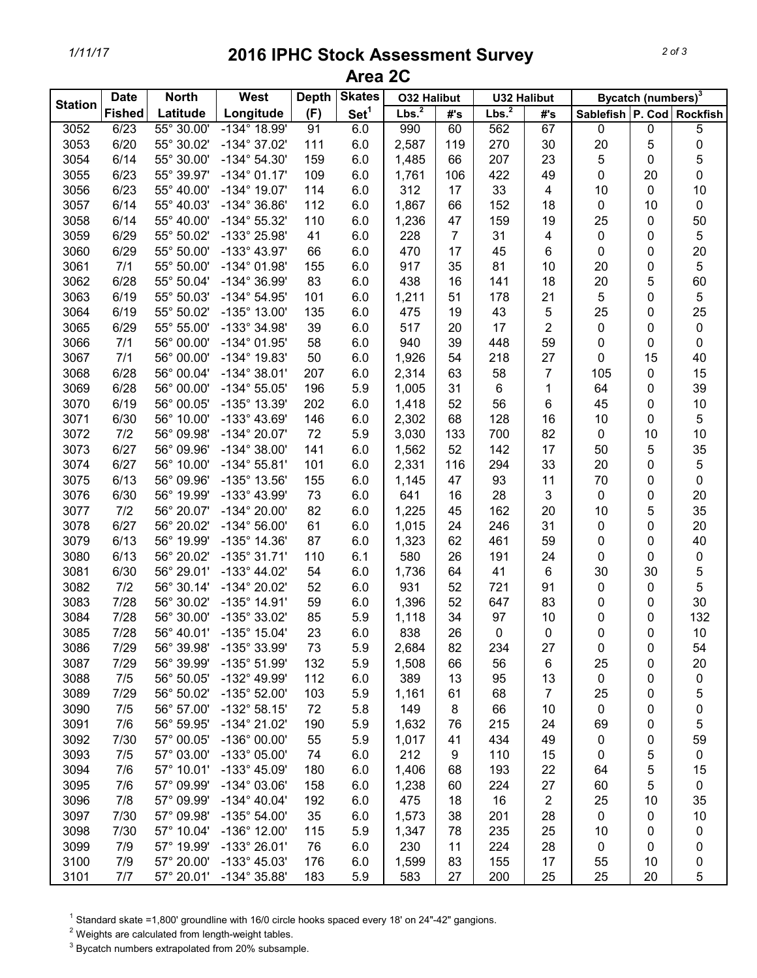## *1/11/17* **2016 IPHC Stock Assessment Survey Area 2C**

|                | <b>Date</b>   | <b>North</b> | West                  | <b>Depth</b> | <b>Skates</b>    | <b>O32 Halibut</b> |     | <b>U32 Halibut</b> |                         | Bycatch (numbers) <sup>3</sup> |    |            |
|----------------|---------------|--------------|-----------------------|--------------|------------------|--------------------|-----|--------------------|-------------------------|--------------------------------|----|------------|
| <b>Station</b> | <b>Fished</b> | Latitude     | Longitude             | (F)          | Set <sup>1</sup> | Lbs. <sup>2</sup>  | #'s | Lbs. <sup>2</sup>  | #'s                     | Sablefish P. Cod Rockfish      |    |            |
| 3052           | 6/23          | 55° 30.00'   | $-134^{\circ}$ 18.99' | 91           | 6.0              | 990                | 60  | 562                | 67                      | $\pmb{0}$                      | 0  | 5          |
| 3053           | 6/20          | 55° 30.02'   | $-134^{\circ}$ 37.02' | 111          | 6.0              | 2,587              | 119 | 270                | 30                      | 20                             | 5  | $\pmb{0}$  |
| 3054           | 6/14          | 55° 30.00'   | $-134^{\circ} 54.30'$ | 159          | 6.0              | 1,485              | 66  | 207                | 23                      | 5                              | 0  | 5          |
| 3055           | 6/23          | 55° 39.97'   | $-134^{\circ}$ 01.17' | 109          | 6.0              | 1,761              | 106 | 422                | 49                      | 0                              | 20 | $\pmb{0}$  |
| 3056           | 6/23          | 55° 40.00'   | $-134^{\circ}$ 19.07' | 114          | 6.0              | 312                | 17  | 33                 | $\overline{4}$          | 10                             | 0  | 10         |
| 3057           | 6/14          | 55° 40.03'   | -134° 36.86'          | 112          | 6.0              | 1,867              | 66  | 152                | 18                      | 0                              | 10 | $\pmb{0}$  |
| 3058           | 6/14          | 55° 40.00'   | $-134^{\circ} 55.32'$ | 110          | 6.0              | 1,236              | 47  | 159                | 19                      | 25                             | 0  | 50         |
| 3059           | 6/29          | 55° 50.02'   | -133° 25.98'          | 41           | 6.0              | 228                | 7   | 31                 | $\overline{\mathbf{4}}$ | 0                              | 0  | $\sqrt{5}$ |
| 3060           | 6/29          | 55° 50.00'   | -133° 43.97'          | 66           | 6.0              | 470                | 17  | 45                 | 6                       | 0                              | 0  | 20         |
| 3061           | 7/1           | 55° 50.00'   | $-134^{\circ}$ 01.98' | 155          | 6.0              | 917                | 35  | 81                 | 10                      | 20                             | 0  | $\sqrt{5}$ |
| 3062           | 6/28          | 55° 50.04'   | -134° 36.99'          | 83           | 6.0              | 438                | 16  | 141                | 18                      | 20                             | 5  | 60         |
| 3063           | 6/19          | 55° 50.03'   | $-134^{\circ}$ 54.95' | 101          | 6.0              | 1,211              | 51  | 178                | 21                      | 5                              | 0  | $\sqrt{5}$ |
| 3064           | 6/19          | 55° 50.02'   | $-135^{\circ}$ 13.00' | 135          | 6.0              | 475                | 19  | 43                 | 5                       | 25                             | 0  | 25         |
| 3065           | 6/29          | 55° 55.00'   | -133° 34.98'          | 39           | 6.0              | 517                | 20  | 17                 | 2                       | 0                              | 0  | $\pmb{0}$  |
| 3066           | 7/1           | 56° 00.00'   | $-134^{\circ}$ 01.95' | 58           | 6.0              | 940                | 39  | 448                | 59                      | 0                              | 0  | $\pmb{0}$  |
| 3067           | 7/1           | 56° 00.00'   | -134° 19.83'          | 50           | 6.0              | 1,926              | 54  | 218                | 27                      | 0                              | 15 | 40         |
| 3068           | 6/28          | 56° 00.04'   | $-134^{\circ}$ 38.01' | 207          | 6.0              | 2,314              | 63  | 58                 | 7                       | 105                            | 0  | 15         |
| 3069           | 6/28          | 56° 00.00'   | $-134^{\circ} 55.05'$ | 196          | 5.9              | 1,005              | 31  | 6                  | 1                       | 64                             | 0  | 39         |
| 3070           | 6/19          | 56° 00.05'   | -135° 13.39'          | 202          | 6.0              | 1,418              | 52  | 56                 | 6                       | 45                             | 0  | $10$       |
| 3071           | 6/30          | 56° 10.00'   | -133° 43.69'          | 146          | 6.0              | 2,302              | 68  | 128                | 16                      | 10                             | 0  | $\sqrt{5}$ |
| 3072           | 7/2           | 56° 09.98'   | $-134^{\circ} 20.07'$ | 72           | 5.9              | 3,030              | 133 | 700                | 82                      | 0                              | 10 | 10         |
| 3073           | 6/27          | 56° 09.96'   | $-134^{\circ}$ 38.00' | 141          | 6.0              | 1,562              | 52  | 142                | 17                      | 50                             | 5  | 35         |
| 3074           | 6/27          | 56° 10.00'   | $-134^{\circ} 55.81'$ | 101          | 6.0              | 2,331              | 116 | 294                | 33                      | 20                             | 0  | $\sqrt{5}$ |
| 3075           | 6/13          | 56° 09.96'   | -135° 13.56'          | 155          | 6.0              | 1,145              | 47  | 93                 | 11                      | 70                             | 0  | $\pmb{0}$  |
| 3076           | 6/30          | 56° 19.99'   | -133° 43.99'          | 73           | 6.0              | 641                | 16  | 28                 | 3                       | 0                              | 0  | 20         |
| 3077           | 7/2           | 56° 20.07'   | -134° 20.00'          | 82           | 6.0              | 1,225              | 45  | 162                | 20                      | 10                             | 5  | 35         |
| 3078           | 6/27          | 56° 20.02'   | $-134^{\circ} 56.00'$ | 61           | 6.0              | 1,015              | 24  | 246                | 31                      | 0                              | 0  | 20         |
| 3079           | 6/13          | 56° 19.99'   | $-135^{\circ}$ 14.36' | 87           | 6.0              | 1,323              | 62  | 461                | 59                      | 0                              | 0  | 40         |
| 3080           | 6/13          | 56° 20.02'   | $-135^{\circ}$ 31.71' | 110          | 6.1              | 580                | 26  | 191                | 24                      | 0                              | 0  | $\pmb{0}$  |
| 3081           | 6/30          | 56° 29.01'   | $-133^{\circ}$ 44.02' | 54           | 6.0              | 1,736              | 64  | 41                 | 6                       | 30                             | 30 | $\sqrt{5}$ |
| 3082           | 7/2           | 56° 30.14'   | -134° 20.02'          | 52           | 6.0              | 931                | 52  | 721                | 91                      | 0                              | 0  | 5          |
| 3083           | 7/28          | 56° 30.02'   | $-135^{\circ}$ 14.91' | 59           | 6.0              | 1,396              | 52  | 647                | 83                      | 0                              | 0  | 30         |
| 3084           | 7/28          | 56° 30.00'   | -135° 33.02'          | 85           | 5.9              | 1,118              | 34  | 97                 | 10                      | 0                              | 0  | 132        |
| 3085           | 7/28          | 56° 40.01'   | -135° 15.04'          | 23           | 6.0              | 838                | 26  | 0                  | 0                       | 0                              | 0  | 10         |
| 3086           | 7/29          | 56° 39.98'   | -135° 33.99'          | 73           | 5.9              | 2,684              | 82  | 234                | 27                      | 0                              | 0  | 54         |
| 3087           | 7/29          | 56° 39.99'   | $-135^{\circ}$ 51.99' | 132          | 5.9              | 1,508              | 66  | 56                 | 6                       | 25                             | 0  | 20         |
| 3088           | 7/5           | 56° 50.05'   | -132° 49.99'          | 112          | 6.0              | 389                | 13  | 95                 | 13                      | 0                              | 0  | $\pmb{0}$  |
| 3089           | 7/29          | 56° 50.02'   | $-135^{\circ}$ 52.00' | 103          | 5.9              | 1,161              | 61  | 68                 | 7                       | 25                             | 0  | 5          |
| 3090           | 7/5           | 56° 57.00'   | $-132^{\circ}58.15'$  | 72           | 5.8              | 149                | 8   | 66                 | 10                      | 0                              | 0  | 0          |
| 3091           | 7/6           | 56° 59.95'   | -134° 21.02'          | 190          | 5.9              | 1,632              | 76  | 215                | 24                      | 69                             | 0  | 5          |
| 3092           | 7/30          | 57° 00.05'   | $-136^{\circ}$ 00.00' | 55           | 5.9              | 1,017              | 41  | 434                | 49                      | 0                              | 0  | 59         |
| 3093           | 7/5           | 57° 03.00'   | -133° 05.00'          | 74           | 6.0              | 212                | 9   | 110                | 15                      | 0                              | 5  | $\pmb{0}$  |
| 3094           | 7/6           | 57° 10.01'   | $-133^{\circ}$ 45.09' | 180          | 6.0              | 1,406              | 68  | 193                | 22                      | 64                             | 5  | 15         |
| 3095           | 7/6           | 57° 09.99'   | $-134^{\circ}$ 03.06' | 158          | 6.0              | 1,238              | 60  | 224                | 27                      | 60                             | 5  | $\pmb{0}$  |
| 3096           | 7/8           | 57° 09.99'   | $-134^{\circ}$ 40.04' | 192          | 6.0              | 475                | 18  | 16                 | $\overline{c}$          | 25                             | 10 | 35         |
| 3097           | 7/30          | 57° 09.98'   | $-135^{\circ} 54.00'$ | 35           | 6.0              | 1,573              | 38  | 201                | 28                      | 0                              | 0  | 10         |
| 3098           | 7/30          | 57° 10.04'   | $-136^{\circ}$ 12.00' | 115          | 5.9              | 1,347              | 78  | 235                | 25                      | 10                             | 0  | $\pmb{0}$  |
| 3099           | 7/9           | 57° 19.99'   | -133° 26.01'          | 76           | 6.0              | 230                | 11  | 224                | 28                      | 0                              | 0  | 0          |
| 3100           | 7/9           | 57° 20.00'   | $-133^{\circ}$ 45.03' | 176          | 6.0              | 1,599              | 83  | 155                | 17                      | 55                             | 10 | 0          |
| 3101           | 7/7           | 57° 20.01'   | -134° 35.88'          | 183          | 5.9              | 583                | 27  | 200                | 25                      | 25                             | 20 | 5          |

 $1$  Standard skate =1,800' groundline with 16/0 circle hooks spaced every 18' on 24"-42" gangions.

 $2$  Weights are calculated from length-weight tables.

 $3$  Bycatch numbers extrapolated from 20% subsample.